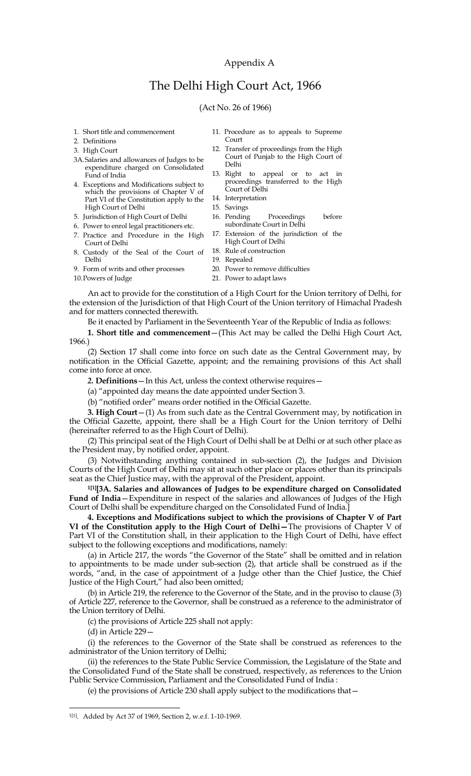## Appendix A

# The Delhi High Court Act, 1966

#### (Act No. 26 of 1966)

- 1. Short title and commencement
- 2. Definitions
- 3. High Court
- 3A.Salaries and allowances of Judges to be expenditure charged on Consolidated Fund of India
- 4. Exceptions and Modifications subject to which the provisions of Chapter V of Part VI of the Constitution apply to the High Court of Delhi
- 5. Jurisdiction of High Court of Delhi
- 6. Power to enrol legal practitioners etc.
- 7. Practice and Procedure in the High
- Court of Delhi 8. Custody of the Seal of the Court of Delhi
- 9. Form of writs and other processes
- 
- 11. Procedure as to appeals to Supreme Court
- 12. Transfer of proceedings from the High Court of Punjab to the High Court of Delhi
- 13. Right to appeal or to act in proceedings transferred to the High Court of Delhi
- 14. Interpretation
- 15. Savings
- 16. Pending Proceedings before subordinate Court in Delhi
- 17. Extension of the jurisdiction of the High Court of Delhi
- 18. Rule of construction
- 19. Repealed
- 20. Power to remove difficulties
- 10.Powers of Judge
- 21. Power to adapt laws

An act to provide for the constitution of a High Court for the Union territory of Delhi, for the extension of the Jurisdiction of that High Court of the Union territory of Himachal Pradesh and for matters connected therewith.

Be it enacted by Parliament in the Seventeenth Year of the Republic of India as follows:

**1. Short title and commencement**—(This Act may be called the Delhi High Court Act, 1966.)

(2) Section 17 shall come into force on such date as the Central Government may, by notification in the Official Gazette, appoint; and the remaining provisions of this Act shall come into force at once.

*2.* **Definitions**—In this Act, unless the context otherwise requires—

(a) "appointed day means the date appointed under Section 3.

(b) "notified order" means order notified in the Official Gazette.

**3. High Court**—(1) As from such date as the Central Government may, by notification in the Official Gazette, appoint, there shall be a High Court for the Union territory of Delhi (hereinafter referred to as the High Court of Delhi).

(2) This principal seat of the High Court of Delhi shall be at Delhi or at such other place as the President may, by notified order, appoint.

(3) Notwithstanding anything contained in sub-section (2), the Judges and Division Courts of the High Court of Delhi may sit at such other place or places other than its principals seat as the Chief Justice may, with the approval of the President, appoint.

**1[1][3A. Salaries and allowances of Judges to be expenditure charged on Consolidated Fund of India**—Expenditure in respect of the salaries and allowances of Judges of the High Court of Delhi shall be expenditure charged on the Consolidated Fund of India.]

**4. Exceptions and Modifications subject to which the provisions of Chapter V of Part VI of the Constitution apply to the High Court of Delhi—**The provisions of Chapter V of Part VI of the Constitution shall, in their application to the High Court of Delhi, have effect subject to the following exceptions and modifications, namely:

(a) in Article 217, the words "the Governor of the State" shall be omitted and in relation to appointments to be made under sub-section (2), that article shall be construed as if the words, "and, in the case of appointment of a Judge other than the Chief Justice, the Chief Justice of the High Court," had also been omitted;

(b) in Article 219, the reference to the Governor of the State, and in the proviso to clause (3) of Article 227, reference to the Governor, shall be construed as a reference to the administrator of the Union territory of Delhi.

(c) the provisions of Article 225 shall not apply:

(d) in Article 229—

 $\overline{\phantom{a}}$ 

(i) the references to the Governor of the State shall be construed as references to the administrator of the Union territory of Delhi;

(ii) the references to the State Public Service Commission, the Legislature of the State and the Consolidated Fund of the State shall be construed, respectively, as references to the Union Public Service Commission, Parliament and the Consolidated Fund of India :

(e) the provisions of Article 230 shall apply subject to the modifications that—

<sup>1[1]</sup> . Added by Act 37 of 1969, Section 2, w.e.f. 1-10-1969.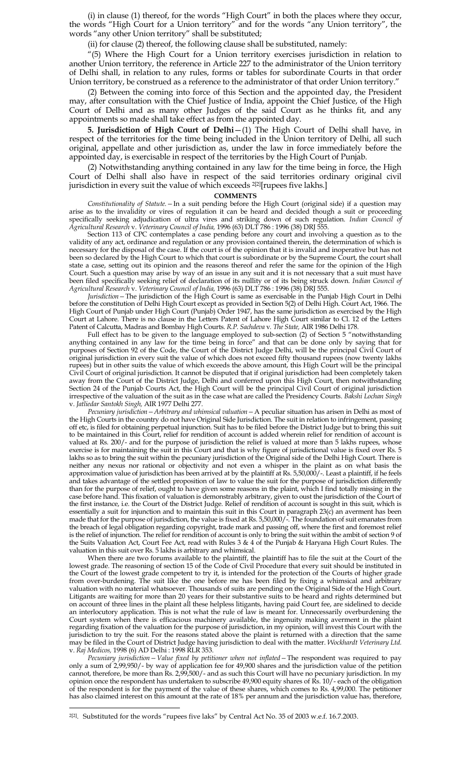(i) in clause (1) thereof, for the words "High Court" in both the places where they occur, the words "High Court for a Union territory" and for the words "any Union territory", the words "any other Union territory" shall be substituted;

(ii) for clause (2) thereof, the following clause shall be substituted, namely:

"(5) Where the High Court for a Union territory exercises jurisdiction in relation to another Union territory, the reference in Article 227 to the administrator of the Union territory of Delhi shall, in relation to any rules, forms or tables for subordinate Courts in that order Union territory, be construed as a reference to the administrator of that order Union territory.

(2) Between the coming into force of this Section and the appointed day, the President may, after consultation with the Chief Justice of India, appoint the Chief Justice, of the High Court of Delhi and as many other Judges of the said Court as he thinks fit, and any appointments so made shall take effect as from the appointed day.

**5. Jurisdiction of High Court of Delhi**—(1) The High Court of Delhi shall have, in respect of the territories for the time being included in the Union territory of Delhi, all such original, appellate and other jurisdiction as, under the law in force immediately before the appointed day, is exercisable in respect of the territories by the High Court of Punjab.

(2) Notwithstanding anything contained in any law for the time being in force, the High Court of Delhi shall also have in respect of the said territories ordinary original civil jurisdiction in every suit the value of which exceeds 2[2][rupees five lakhs.]

#### **COMMENTS**

*Constitutionality of Statute.—*In a suit pending before the High Court (original side) if a question may arise as to the invalidity or vires of regulation it can be heard and decided though a suit or proceeding specifically seeking adjudication of ultra vires and striking down of such regulation. *Indian Council of Agricultural Research* v. *Veterinary Council of India,* 1996 (63) DLT 786 : 1996 (38) DRJ 555.

Section 113 of CPC contemplates a case pending before any court and involving a question as to the validity of any act, ordinance and regulation or any provision contained therein, the determination of which is necessary for the disposal of the case. If the court is of the opinion that it is invalid and inoperative but has not been so declared by the High Court to which that court is subordinate or by the Supreme Court, the court shall state a case, setting out its opinion and the reasons thereof and refer the same for the opinion of the High Court. Such a question may arise by way of an issue in any suit and it is not necessary that a suit must have been filed specifically seeking relief of declaration of its nullity or of its being struck down. *Indian Council of Agricultural Research* v. *Veterinary Council of India,* 1996 (63) DLT 786 : 1996 (38) DRJ 555.

*Jurisdiction—*The jurisdiction of the High Court is same as exercisable in the Punjab High Court in Delhi before the constitution of Delhi High Court except as provided in Section 5(2) of Delhi High. Court Act, 1966. The High Court of Punjab under High Court (Punjab) Order 1947, has the same jurisdiction as exercised by the High Court at Lahore. There is no clause in the Letters Patent of Lahore High Court similar to Cl. 12 of the Letters Patent of Calcutta, Madras and Bombay High Courts. *R.P. Sachdeva* v*. The State,* AIR 1986 Delhi 178.

Full effect has to be given to the language employed to sub-section (2) of Section 5 "notwithstanding anything contained in any law for the time being in force" and that can be done only by saying that for purposes of Section 92 of the Code, the Court of the District Judge Delhi, will be the principal Civil Court of original jurisdiction in every suit the value of which does not exceed fifty thousand rupees (now twenty lakhs rupees) but in other suits the value of which exceeds the above amount, this High Court will be the principal Civil Court of original jurisdiction. It cannot be disputed that if original jurisdiction had been completely taken away from the Court of the District Judge, Delhi and conferred upon this High Court, then notwithstanding Section 24 of the Punjab Courts Act, the High Court will be the principal Civil Court of original jurisdiction irrespective of the valuation of the suit as in the case what are called the Presidency Courts. *Bakshi Lochan Singh* v. *Jatliedar Santokh Singh,* AIR 1977 Delhi 277.

*Pecuniary jurisdiction—Arbitrary and whimsical valuation—*A peculiar situation has arisen in Delhi as most of the High Courts in the country do not have Original Side Jurisdiction. The suit in relation to infringement, passing off etc, is filed for obtaining perpetual injunction. Suit has to be filed before the District Judge but to bring this suit to be maintained in this Court, relief for rendition of account is added wherein relief for rendition of account is valued at Rs. 200/- and for the purpose of jurisdiction the relief is valued at more than 5 lakhs rupees, whose exercise is for maintaining the suit in this Court and that is why figure of jurisdictional value is fixed over Rs. 5 lakhs so as to bring the suit within the pecuniary jurisdiction of the Original side of the Delhi High Court. There is neither any nexus nor rational or objectivity and not even a whisper in the plaint as on what basis the approximation value of jurisdiction has been arrived at by the plaintiff at Rs. 5,50,000/-. Least a plaintiff, if he feels and takes advantage of the settled proposition of law to value the suit for the purpose of jurisdiction differently than for the purpose of relief, ought to have given some reasons in the plaint, which I find totally missing in the case before hand. This fixation of valuation is demonstrably arbitrary, given to oust the jurisdiction of the Court of the first instance, i.e. the Court of the District Judge. Relief of rendition of account is sought in this suit, which is essentially a suit for injunction and to maintain this suit in this Court in paragraph 23(c) an averment has been made that for the purpose of jurisdiction, the value is fixed at Rs. 5,50,000/-. The foundation of suit emanates from the breach of legal obligation regarding copyright, trade mark and passing off, where the first and foremost relief is the relief of injunction. The relief for rendition of account is only to bring the suit within the ambit of section 9 of the Suits Valuation Act, Court Fee Act, read with Rules 3 & 4 of the Punjab & Haryana High Court Rules. The valuation in this suit over Rs. 5 lakhs is arbitrary and whimsical.

When there are two forums available to the plaintiff, the plaintiff has to file the suit at the Court of the lowest grade. The reasoning of section 15 of the Code of Civil Procedure that every suit should be instituted in the Court of the lowest grade competent to try it, is intended for the protection of the Courts of higher grade from over-burdening. The suit like the one before me has been filed by fixing a whimsical and arbitrary valuation with no material whatsoever. Thousands of suits are pending on the Original Side of the High Court. Litigants are waiting for more than 20 years for their substantive suits to be heard and rights determined but on account of three lines in the plaint all these helpless litigants, having paid Court fee, are sidelined to decide an interlocutory application. This is not what the rule of law is meant for. Unnecessarily overburdening the Court system when there is efficacious machinery available, the ingenuity making averment in the plaint regarding fixation of the valuation for the purpose of jurisdiction, in my opinion, will invest this Court with the jurisdiction to try the suit. For the reasons stated above the plaint is returned with a direction that the same may be filed in the Court of District Judge having jurisdiction to deal with the matter. *Wockhardt Veterinary Ltd.*  v. *Raj Medicos,* 1998 (6) AD Delhi : 1998 RLR 353.

*Pecuniary jurisdiction—Value fixed by petitioner when not inflated—*The respondent was required to pay only a sum of 2,99,950/- by way of application fee for 49,900 shares and the jurisdiction value of the petition cannot, therefore, be more than Rs. 2,99,500/- and as such this Court will have no pecuniary jurisdiction. In my opinion once the respondent has undertaken to subscribe 49,900 equity shares of Rs. 10/- each of the obligation of the respondent is for the payment of the value of these shares, which comes to Rs. 4,99,000. The petitioner has also claimed interest on this amount at the rate of 18% per annum and the jurisdiction value has, therefore,

 $\overline{\phantom{a}}$ 

 $2^{2}$ . Substituted for the words "rupees five laks" by Central Act No. 35 of 2003 w.e.f. 16.7.2003.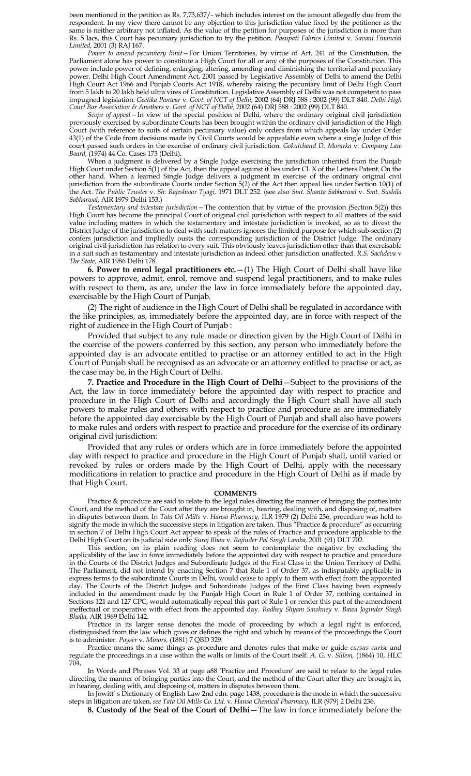been mentioned in the petition as Rs. 7,73,637/- which includes interest on the amount allegedly due from the respondent. In my view there cannot be any objection to this jurisdiction value fixed by the petitioner as the same is neither arbitrary not inflated. As the value of the petition for purposes of the jurisdiction is more than Rs. 5 lacs, this Court has pecuniary jurisdiction to try the petition. *Pasupati Fabrics Limited* v. *Savani Financial Limited,* 2001 (3) RAJ 167.

*Power to amend pecumiary limit—*For Union Territories, by virtue of Art. 241 of the Constitution, the Parliament alone has power to constitute a High Court for all or any of the purposes of the Constitution. This power include power of defining, enlarging, altering, amending and diminishing the territorial and pecuniary power. Delhi High Court Amendment Act, 2001 passed by Legislative Assembly of Delhi to amend the Delhi High Court Act 1966 and Punjab Courts Act 1918, whereby raising the pecuniary limit of Delhi High Court from 5 lakh to 20 lakh held ultra vires of Constitution. Legislative Assembly of Delhi was not competent to pass impugned legislation. *Geetika Panwar* v. *Govt. of NCT of Delhi,* 2002 (64) DRJ 588 : 2002 (99) DLT 840. *Delhi High Court Bar Association & Anothers* v. *Govt. of NCT of Delhi,* 2002 (64) DRJ 588 : 2002 (99) DLT 840.

*Scope of appeal—*In view of the special position of Delhi, where the ordinary original civil jurisdiction previously exercised by subordinate Courts has been brought within the ordinary civil jurisdiction of the High Court (with reference to suits of certain pecuniary value) only orders from which appeals lay under Order 43(1) of the Code from decisions made by Civil Courts would be appealable even where a single Judge of this court passed such orders in the exercise of ordinary civil jurisdiction. *Gokulchand D. Morarka* v. *Company Law Board,* (1974) 44 Co. Cases 173 (Delhi).

When a judgment is delivered by a Single Judge exercising the jurisdiction inherited from the Punjab High Court under Section 5(1) of the Act, then the appeal against it lies under Cl. X of the Letters Patent. On the other hand. When a learned Single Judge delivers a judgment in exercise of the ordinary original civil jurisdiction from the subordinate Courts under Section 5(2) of the Act then appeal lies under Section 10(1) of the Act. *The Public Trustee* v. *Sh: Rajeshwar Tyagi,* 1971 DLT 252. (see also *Smt. Shanta Sabharwal* v. *Smt. Sushila Sabharwal,* AIR 1979 Delhi 153.)

*Testamentary and intestate jurisdiction—*The contention that by virtue of the provision (Section 5(2)) this High Court has become the principal Court of original civil jurisdiction with respect to all matters of the said value including matters in which the testamentary and intestate jurisdiction is invoked, so as to divest the District Judge of the jurisdiction to deal with such matters ignores the limited purpose for which sub-section (2) confers jurisdiction and impliedly ousts the corresponding jurisdiction of the District Judge. The ordinary original civil jurisdiction has relation to every suit. This obviously leaves jurisdiction other than that exercisable in a suit such as testamentary and intestate jurisdiction as indeed other jurisdiction unaffected. *R.S. Sachdeva* v *The State,* AIR 1986 Delhi 178.

**6. Power to enrol legal practitioners etc.**—(1) The High Court of Delhi shall have like powers to approve, admit, enrol, remove and suspend legal practitioners, and to make rules with respect to them, as are, under the law in force immediately before the appointed day, exercisable by the High Court of Punjab.

(2) The right of audience in the High Court of Delhi shall be regulated in accordance with the like principles, as, immediately before the appointed day, are in force with respect of the right of audience in the High Court of Punjab :

Provided that subject to any rule made or direction given by the High Court of Delhi in the exercise of the powers conferred by this section, any person who immediately before the appointed day is an advocate entitled to practise or an attorney entitled to act in the High Court of Punjab shall be recognised as an advocate or an attorney entitled to practise or act, as the case may be, in the High Court of Delhi.

**7. Practice and Procedure in the High Court of Delhi**—Subject to the provisions of the Act, the law in force immediately before the appointed day with respect to practice and procedure in the High Court of Delhi and accordingly the High Court shall have all such powers to make rules and others with respect to practice and procedure as are immediately before the appointed day exercisable by the High Court of Punjab and shall also have powers to make rules and orders with respect to practice and procedure for the exercise of its ordinary original civil jurisdiction:

Provided that any rules or orders which are in force immediately before the appointed day with respect to practice and procedure in the High Court of Punjab shall, until varied or revoked by rules or orders made by the High Court of Delhi, apply with the necessary modifications in relation to practice and procedure in the High Court of Delhi as if made by that High Court.

#### **COMMENTS**

Practice & procedure are said to relate to the legal rules directing the manner of bringing the parties into Court, and the method of the Court after they are brought in, hearing, dealing with, and disposing of, matters in disputes between them. In *Tata Oil Mills* v. *Hansa Pharmacy,* ILR 1979 (2) Delhi 236, procedure was held to signify the mode in which the successive steps in litigation are taken. Thus "Practice & procedure" as occurring in section 7 of Delhi High Court Act appear to speak of the rules of Practice and procedure applicable to the Delhi High Court on its judicial side only *Suraj Bhan* v. *Rajinder Pal Singh Lamba,* 2001 (91) DLT 702.

This section, on its plain reading does not seem to contemplate the negative by excluding the applicability of the law in force immediately before the appointed day with respect to practice and procedure in the Courts of the District Judges and Subordinate Judges of the First Class in the Union Territory of Delhi. The Parliament, did not intend by enacting Section 7 that Rule 1 of Order 37, as indisputably applicable in express terms to the subordinate Courts in Delhi, would cease to apply to them with effect from the appointed day. The Courts of the District Judges and Subordinate Judges of the First Class having been expressly included in the amendment made by the Punjab High Court in Rule 1 of Order 37, nothing contained in Sections 121 and 127 CPC, would automatically repeal this part of Rule 1 or render this part of the amendment ineffectual or inoperative with effect from the appointed day. *Radhey Shyam Sawhney* v. *Bawa Joginder Singh Bhalla,* AIR 1969 Delhi 142.

Practice in its larger sense denotes the mode of proceeding by which a legal right is enforced, distinguished from the law which gives or defines the right and which by means of the proceedings the Court is to administer. *Poyser* v. *Minors,* (1881) 7 QBD 329.

Practice means the same things as procedure and denotes rules that make or guide *cursus curise* and regulate the proceedings in a case within the walls or limits of the Court itself. *A. G.* v. *Sillem,* (1864) 10, HLC 704,

In Words and Phrases Vol. 33 at page a88 "Practice and Procedure" are said to relate to the legal rules directing the manner of bringing parties into the Court, and the method of the Court after they are brought in, in hearing, dealing with, and disposing of, matters in disputes between them.

In Jowitt" s Dictionary of English Law 2nd edn. page 1438, procedure is the mode in which the successive steps in litigation are taken, *see Tata Oil Mills Co. Ltd.* v. *Hansa Chemical Pharmacy,* ILR (979) 2 Delhi 236.

**8. Custody of the Seal of the Court of Delhi**—The law in force immediately before the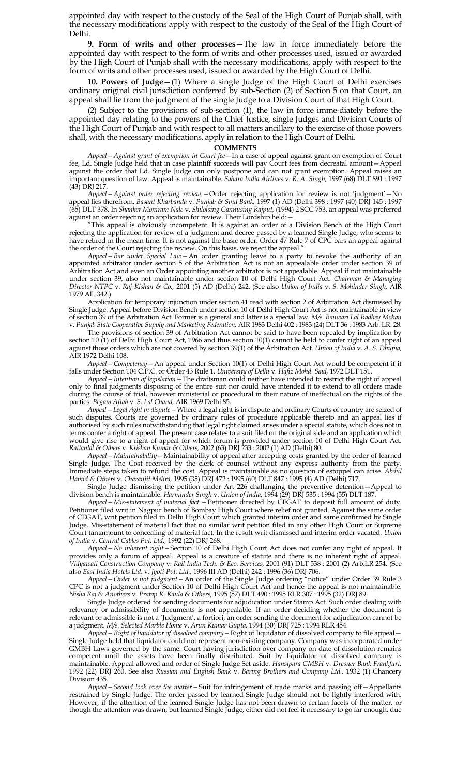appointed day with respect to the custody of the Seal of the High Court of Punjab shall, with the necessary modifications apply with respect to the custody of the Seal of the High Court of Delhi.

**9. Form of writs and other processes**—The law in force immediately before the appointed day with respect to the form of writs and other processes used, issued or awarded by the High Court of Punjab shall with the necessary modifications, apply with respect to the form of writs and other processes used, issued or awarded by the High Court of Delhi.

**10. Powers of Judge**—(1) Where a single Judge of the High Court of Delhi exercises ordinary original civil jurisdiction conferred by sub-Section (2) of Section 5 on that Court, an appeal shall lie from the judgment of the single Judge to a Division Court of that High Court.

(2) Subject to the provisions of sub-section (1), the law in force imme-diately before the appointed day relating to the powers of the Chief Justice, single Judges and Division Courts of the High Court of Punjab and with respect to all matters ancillary to the exercise of those powers shall, with the necessary modifications, apply in relation to the High Court of Delhi.

#### **COMMENTS**

*Appeal—Against grant of exemption in Court fee—*In a case of appeal against grant on exemption of Court fee, Ld. Single Judge held that in case plaintiff succeeds will pay Court fees from decreatal amount—Appeal against the order that Ld. Single Judge can only postpone and can not grant exemption. Appeal raises an important question of law. Appeal is maintainable. *Sahara India Airlines* v. *R. A. Singh,* 1997 (68) DLT 891 : 1997 (43) DRJ 217.

*Appeal—Against order rejecting review.—*Order rejecting application for review is not "judgment"—No appeal lies therefrom. *Basant Kharbanda* v. *Punjab & Sind Bank,* 1997 (1) AD (Delhi 398 : 1997 (40) DRJ 145 : 1997 (65) DLT 378. In *Shanker Moniram Nale* v. *Shilolsing Gannusing Rajput,* (1994) 2 SCC 753, an appeal was preferred against an order rejecting an application for review. Their Lordship held:—

"This appeal is obviously incompetent. It is against an order of a Division Bench of the High Court rejecting the application for review of a judgment and decree passed by a learned Single Judge, who seems to have retired in the mean time. It is not against the basic order. Order 47 Rule 7 of CPC bars an appeal against the order of the Court rejecting the review. On this basis, we reject the appeal.'

*Appeal—Bar under Special Law—*An order granting leave to a party to revoke the authority of an appointed arbitrator under section 5 of the Arbitration Act is not an appealable order under section 39 of Arbitration Act and even an Order appointing another arbitrator is not appealable. Appeal if not maintainable under section 39, also not maintainable under section 10 of Delhi High Court Act. *Chairman & Managing Director NTPC* v. *Raj Kishan & Co.,* 2001 (5) AD (Delhi) 242. (See also *Union of India* v. *S. Mohinder Singh,* AIR 1979 All. 342.)

Application for temporary injunction under section 41 read with section 2 of Arbitration Act dismissed by Single Judge. Appeal before Division Bench under section 10 of Delhi High Court Act is not maintainable in view of section 39 of the Arbitration Act. Former is a general and latter is a special law. *M/s. Banwari Lal Radhey Mohan*  v. *Punjab State Cooperative Supply and Marketing Federation,* AIR 1983 Delhi 402 : 1983 (24) DLT 36 : 1983 Arb. LR. 28.

The provisions of section 39 of Arbitration Act cannot be said to have been repealed by implication by section 10 (1) of Delhi High Court Act, 1966 and thus section 10(1) cannot be held to confer right of an appeal against those orders which are not covered by section 39(1) of the Arbitration Act. *Union of India* v. *A. S. Dhupia,* AIR 1972 Delhi 108.

*Appeal—Competency—*An appeal under Section 10(1) of Delhi High Court Act would be competent if it falls under Section 104 C.P.C. or Order 43 Rule 1. *University of Delhi* v. *Hafiz Mohd. Said,* 1972 DLT 151.

*Appeal—Intention of legislation—*The draftsman could neither have intended to restrict the right of appeal only to final judgments disposing of the entire suit nor could have intended it to extend to all orders made during the course of trial, however ministerial or procedural in their nature of ineffectual on the rights of the parties*. Begam Aftab* v. *S. Lal Chand,* AIR 1969 Delhi 85.

*Appeal—Legal right in dispute—*Where a legal right is in dispute and ordinary Courts of country are seized of such disputes, Courts are governed by ordinary rules of procedure applicable thereto and an appeal lies if authorised by such rules notwithstanding that legal right claimed arises under a special statute, which does not in terms confer a right of appeal. The present case relates to a suit filed on the original side and an application which would give rise to a right of appeal for which forum is provided under section 10 of Delhi High Court Act. *Rattanlal & Others* v. *Krishan Kumar & Others,* 2002 (63) DRJ 233 : 2002 (1) AD (Delhi) 80.

*Appeal—Maintainability—*Maintainability of appeal after accepting costs granted by the order of learned Single Judge. The Cost received by the clerk of counsel without any express authority from the party. Immediate steps taken to refund the cost. Appeal is maintainable as no question of estoppel can arise. *Abdul Hamid & Others* v. *Charanjit Mehra,* 1995 (35) DRJ 472 : 1995 (60) DLT 847 : 1995 (4) AD (Delhi) 717.

Single Judge dismissing the petition under Art 226 challanging the preventive detention—Appeal to division bench is maintainable. *Harminder Singh* v. *Union of India,* 1994 (29) DRJ 535 : 1994 (55) DLT 187.

*Appeal—Mis-statement of material fact.—*Petitioner directed by CEGAT to deposit full amount of duty. Petitioner filed writ in Nagpur bench of Bombay High Court where relief not granted. Against the same order of CEGAT, writ petition filed in Delhi High Court which granted interim order and same confirmed by Single Judge. Mis-statement of material fact that no similar writ petition filed in any other High Court or Supreme Court tantamount to concealing of material fact. In the result writ dismissed and interim order vacated. *Union of India* v. *Central Cables Pvt. Ltd.,* 1992 (22) DRJ 268.

*Appeal—No inherent right—*Section 10 of Delhi High Court Act does not confer any right of appeal. It provides only a forum of appeal. Appeal is a creature of statute and there is no inherent right of appeal. *Vidyawati Construction Company* v. *Rail India Tech. & Eco. Services,* 2001 (91) DLT 538 : 2001 (2) Arb.LR 254. *(*See also *East India Hotels Ltd.* v. *Jyoti Pvt. Ltd.,* 1996 III AD (Delhi) 242 : 1996 (36) DRJ 706.

*Appeal—Order is not judgment—*An order of the Single Judge ordering "notice" under Order 39 Rule 3 CPC is not a judgment under Section 10 of Delhi High Court Act and hence the appeal is not maintainable. *Nisha Raj & Anothers* v. *Pratap K. Kaula & Others,* 1995 (57) DLT 490 : 1995 RLR 307 : 1995 (32) DRJ 89.

Single Judge ordered for sending documents for adjudication under Stamp Act. Such order dealing with relevancy or admissibility of documents is not appealable. If an order deciding whether the document is relevant or admissible is not a "Judgment", a fortiori, an order sending the document for adjudication cannot be a judgment. *M/s. Selected Marble Home* v. *Arun Kumar Gupta,* 1994 (30) DRJ 725 : 1994 RLR 454.

*Appeal—Right of liquidator of dissolved company—*Right of liquidator of dissolved company to file appeal— Single Judge held that liquidator could not represent non-existing company. Company was incorporated under GMBH Laws governed by the same. Court having jurisdiction over company on date of dissolution remains competent until the assets have been finally distributed. Suit by liquidator of dissolved company is maintainable. Appeal allowed and order of Single Judge Set aside. *Hansipara GMBH* v. *Dresner Bank Frankfurt,* 1992 (22) DRJ 260. See also *Russian and English Bank* v. *Baring Brothers and Company Ltd.,* 1932 (1) Chancery Division 435.

*Appeal—Second look over the matter—*Suit for infringement of trade marks and passing off—Appellants restrained by Single Judge. The order passed by learned Single Judge should not be lightly interfered with. However, if the attention of the learned Single Judge has not been drawn to certain facets of the matter, or though the attention was drawn, but learned Single Judge, either did not feel it necessary to go far enough, due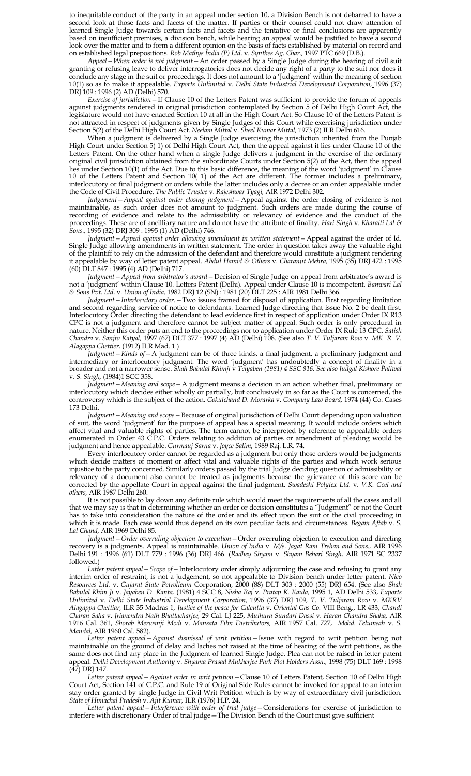to inequitable conduct of the party in an appeal under section 10, a Division Bench is not debarred to have a second look at those facts and facets of the matter. If parties or their counsel could not draw attention of learned Single Judge towards certain facts and facets and the tentative or final conclusions are apparently based on insufficient premises, a division bench, while hearing an appeal would be justified to have a second look over the matter and to form a different opinion on the basis of facts established by material on record and on established legal prepositions. *Rob Mathys India (P) Ltd.* v. *Synthes Ag. Char.,* 1997 PTC 669 (D.B.).

*Appeal—When order is not judgment—*An order passed by a Single Judge during the hearing of civil suit granting or refusing leave to deliver interrogatories does not decide any right of a party to the suit nor does it conclude any stage in the suit or proceedings. It does not amount to a "Judgment" within the meaning of section 10(1) so as to make it appealable. *Exports Unlimited* v. *Delhi State Industrial Development Corporation,* 1996 (37) DRJ 109 : 1996 (2) AD (Delhi) 570.

*Exercise of jurisdiction—*If Clause 10 of the Letters Patent was sufficient to provide the forum of appeals against judgments rendered in original jurisdiction contemplated by Section 5 of Delhi High Court Act, the legislature would not have enacted Section 10 at all in the High Court Act. So Clause 10 of the Letters Patent is not attracted in respect of judgments given by Single Judges of this Court while exercising jurisdiction under Section 5(2) of the Delhi High Court Act. *Neelam Mittal* v. *Sheel Kumar Mittal,* 1973 (2) ILR Delhi 616.

When a judgment is delivered by a Single Judge exercising the jurisdiction inherited from the Punjab High Court under Section 5( 1) of Delhi High Court Act, then the appeal against it lies under Clause 10 of the Letters Patent. On the other hand when a single Judge delivers a judgment in the exercise of the ordinary original civil jurisdiction obtained from the subordinate Courts under Section 5(2) of the Act, then the appeal lies under Section 10(1) of the Act. Due to this basic difference, the meaning of the word 'judgment' in Clause 10 of the Letters Patent and Section 10( 1) of the Act are different. The former includes a preliminary, interlocutory or final judgment or orders while the latter includes only a decree or an order appealable under the Code of Civil Procedure. *The Public Trustee* v. *Rajeshwar Tyagi,* AIR 1972 Delhi 302.

*Judgement—Appeal against order closing judgment—*Appeal against the order closing of evidence is not maintainable, as such order does not amount to judgment. Such orders are made during the course of recording of evidence and relate to the admissibility or relevancy of evidence and the conduct of the proceedings. These are of ancilliary nature and do not have the attribute of finality. *Hari Singh* v. *Kharaiti Lal & Sons.,* 1995 (32) DRJ 309 : 1995 (1) AD (Delhi) 746.

*Judgment—Appeal against order allowing amendment in written statement—*Appeal against the order of ld. Single Judge allowing amendments in written statement. The order in question takes away the valuable right of the plaintiff to rely on the admission of the defendant and therefore would constitute a judgment rendering it appealable by way of letter patent appeal. *Abdul Hamid & Others* v. *Charanjit Mehra,* 1995 (35) DRJ 472 : 1995 (60) DLT 847 : 1995 (4) AD (Delhi) 717.

*Judgment—Appeal from arbitrator's award—*Decision of Single Judge on appeal from arbitrator"s award is not a "judgment" within Clause 10. Letters Patent (Delhi). Appeal under Clause 10 is incompetent. *Banwari Lal & Sons Pvt. Ltd.* v. *Union of India,* 1982 DRJ 12 (SN) : 1981 (20) DLT 225 : AIR 1981 Delhi 366.

*Judgment—Interlocutory order.—*Two issues framed for disposal of application. First regarding limitation and second regarding service of notice to defendants. Learned Judge directing that issue No. 2 be dealt first. Interlocutory Order directing the defendant to lead evidence first in respect of application under Order IX R13 CPC is not a judgment and therefore cannot be subject matter of appeal. Such order is only procedural in nature. Neither this order puts an end to the proceedings nor to application under Order IX Rule 13 CPC. *Satish Chandra* v. *Sanjiv Katyal,* 1997 (67) DLT 377 : 1997 (4) AD (Delhi) 108. (See also *T. V. Tuljaram Row* v. *MK R. V. Alagappa Chettier,* (1912) ILR Mad. 1.)

*Judgment—Kinds of—*A judgment can be of three kinds, a final judgment, a preliminary judgment and intermediary or interlocutory judgment. The word "judgment" has undoubtedly a concept of finality in a broader and not a narrower sense. *Shah Babulal Khimji* v *Tciyaben (1981) 4 SSC 816. See also Judgal Kishore Paliwal* v. *S. Singh,* (1984)1 SCC 358.

*Judgment—Meaning and scope—*A judgment means a decision in an action whether final, preliminary or interlocutory which decides either wholly or partially, but conclusively in so far as the Court is concerned, the controversy which is the subject of the action. *Gokulchand D. Morarka* v. *Company Law Board,* 1974 (44) Co. Cases 173 Delhi.

*Judgment—Meaning and scope—*Because of original jurisdiction of Delhi Court depending upon valuation of suit, the word "judgment" for the purpose of appeal has a special meaning. It would include orders which affect vital and valuable rights of parties. The term cannot be interpreted by reference to appealable orders enumerated in Order 43 C.P.C. Orders relating to addition of parties or amendment of pleading would be judgment and hence appealable. *Gurmauj Sarna* v. *Joyce Salim,* 1989 Raj. L.R. 74.

Every interlocutory order cannot be regarded as a judgment but only those orders would be judgments which decide matters of moment or affect vital and valuable rights of the parties and which work serious injustice to the party concerned. Similarly orders passed by the trial Judge deciding question of admissibility or relevancy of a document also cannot be treated as judgments because the grievance of this score can be corrected by the appellate Court in appeal against the final judgment. *Swadeshi Polytex Ltd.* v. *V.K. Goel and others,* AIR 1987 Delhi 260.

It is not possible to lay down any definite rule which would meet the requirements of all the cases and all that we may say is that in determining whether an order or decision constitutes a "Judgment" or not the Court has to take into consideration the nature of the order and its effect upon the suit or the civil proceeding in which it is made. Each case would thus depend on its own peculiar facts and circumstances. *Begam Aftab* v. *S. Lal Chand,* AIR 1969 Delhi 85.

*Judgment—Order overruling objection to execution—*Order overruling objection to execution and directing recovery is a judgments. Appeal is maintainable. *Union of India* v. *M/s. Jagat Ram Trehan and Sons.,* AIR 1996 Delhi 191 : 1996 (61) DLT 779 : 1996 (36) DRJ 466. (*Radhey Shyam* v. *Shyam Behari Singh,* AIR 1971 SC 2337 followed.)

*Latter patent appeal—Scope of—*Interlocutory order simply adjourning the case and refusing to grant any interim order of restraint, is not a judgement, so not appealable to Division bench under letter patent. *Nico Resources Ltd.* v. *Gujarat State Petrolieum* Corporation, 2000 (88) DLT 303 : 2000 (55) DRJ 654. (See also *Shah Babulal Khim Ji* v. *Jayaben D. Kanta,* (1981) 4 SCC 8, *Nisha Raj* v. *Pratap K. Kaula,* 1995 1, AD Delhi 533, *Exports Unlimited* v. *Delhi State Industrial Development Corporation,* 1996 (37) DRJ 109*, T. V. Tuljaram Row* v. *MKRV Alagappa Chettiar,* ILR 35 Madras 1*, Justice of the peace for Calcutta* v. *Oriental Gas Co.* VIII Beng., LR 433, *Chandi Charan Saha* v. *Jrianendra Nath Bhattacharjee,* 29 Cal. LJ 225, *Muthura Sundari Dassi* v. *Haran Chandra Shaha,* AIR 1916 Cal. 361, *Shorab Merwanji Modi* v. *Mansata Film Distributors,* AIR 1957 Cal. 727, *Mohd. Felumeah* v. *S. Mandal,* AIR 1960 Cal. 582).

*Letter patent appeal—Against dismissal of writ petition—*Issue with regard to writ petition being not maintainable on the ground of delay and laches not raised at the time of hearing of the writ petitions, as the same does not find any place in the Judgment of learned Single Judge. Plea can not be raised in letter patent appeal. *Delhi Development Authority* v. *Shyama Prasad Mukherjee Park Plot Holders Assn.,* 1998 (75) DLT 169 : 1998  $(47)$  DRJ 147.

*Letter patent appeal—Against order in writ petition—*Clause 10 of Letters Patent, Section 10 of Delhi High Court Act, Section 141 of C.P.C. and Rule 19 of Original Side Rules cannot be invoked for appeal to an interim stay order granted by single Judge in Civil Writ Petition which is by way of extraordinary civil jurisdiction. *State of Himachal Pradesh* v. *Ajit Kumar,* ILR (1976) H.P. 24.

*Letter patent appeal—Interference with order of trial judge—*Considerations for exercise of jurisdiction to interfere with discretionary Order of trial judge—The Division Bench of the Court must give sufficient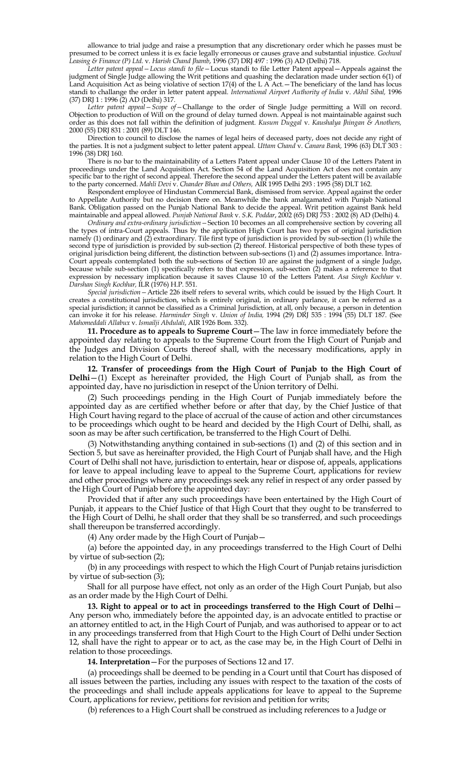allowance to trial judge and raise a presumption that any discretionary order which he passes must be presumed to be correct unless it is ex facie legally erroneous or causes grave and substantial injustice. *Gochwal Leasing & Finance (P) Ltd.* v. *Harish Chand Jhamb*, 1996 (37) DRJ 497 : 1996 (3) AD (Delhi) 718.

*Letter patent appeal—Locus standi to file—*Locus standi to file Letter Patent appeal—Appeals against the judgment of Single Judge allowing the Writ petitions and quashing the declaration made under section 6(1) of Land Acquisition Act as being violative of section 17(4) of the L A Act.—The beneficiary of the land has locus standi to challange the order in letter patent appeal. *International Airport Authority of India* v. *Akhil Sibal,* 1996 (37) DRJ 1 : 1996 (2) AD (Delhi) 317.

*Letter patent appeal—Scope of—*Challange to the order of Single Judge permitting a Will on record. Objection to production of Will on the ground of delay turned down. Appeal is not maintainable against such order as this does not fall within the definition of judgment. *Kusum Duggal* v. *Kaushalya Jhingan & Anothers,*  2000 (55) DRJ 831 : 2001 (89) DLT 146.

Direction to council to disclose the names of legal heirs of deceased party, does not decide any right of the parties. It is not a judgment subject to letter patent appeal. *Uttam Chand* v. *Canara Bank,* 1996 (63) DLT 303 : 1996 (38) DRJ 160.

There is no bar to the maintainability of a Letters Patent appeal under Clause 10 of the Letters Patent in proceedings under the Land Acquisition Act. Section 54 of the Land Acquisition Act does not contain any specific bar to the right of second appeal. Therefore the second appeal under the Letters patent will be available to the party concerned. *Mahli Devi* v. *Chander Bhan and Others,* AIR 1995 Delhi 293 : 1995 (58) DLT 162.

Respondent employee of Hindustan Commercial Bank, dismissed from service. Appeal against the order to Appellate Authority but no decision there on. Meanwhile the bank amalgamated with Punjab National Bank. Obligation passed on the Punjab National Bank to decide the appeal. Writ petition against Bank held maintainable and appeal allowed. *Punjab National Bank* v. *S.K. Poddar*, 2002 (65) DRJ 753 : 2002 (8) AD (Delhi) 4.

*Ordinary and extra-ordinary jurisdiction—*Section 10 becomes an all comprehensive section by covering all the types of intra-Court appeals. Thus by the application High Court has two types of original jurisdiction namely (1) ordinary and (2) extraordinary. Tile first type of jurisdiction is provided by sub-section (1) while the second type of jurisdiction is provided by sub-section (2) thereof. Historical perspective of both these types of original jurisdiction being different, the distinction between sub-sections (1) and (2) assumes importance. Intra-Court appeals contemplated both the sub-sections of Section 10 are against the judgment of a single Judge, because while sub-section (1) specifically refers to that expression, sub-section (2) makes a reference to that expression by necessary implication because it saves Clause 10 of the Letters Patent. *Asa Singh Kochhar* v. *Darshan Singh Kochhar,* ILR (1976) H.P. 551.

*Special jurisdiction—*Article 226 itself refers to several writs, which could be issued by the High Court. It creates a constitutional jurisdiction, which is entirely original, in ordinary parlance, it can be referred as a special jurisdiction; it cannot be classified as a Criminal Jurisdiction, at all, only because, a person in detention can invoke it for his release. *Harminder Singh* v. *Union of India,* 1994 (29) DRJ 535 : 1994 (55) DLT 187. (See *Mahomeddali Allabux* v. *Ismailji Abdulali*, AIR 1926 Bom. 332).

**11. Procedure as to appeals to Supreme Court**—The law in force immediately before the appointed day relating to appeals to the Supreme Court from the High Court of Punjab and the Judges and Division Courts thereof shall, with the necessary modifications, apply in relation to the High Court of Delhi.

**12. Transfer of proceedings from the High Court of Punjab to the High Court of Delhi**—(1) Except as hereinafter provided, the High Court of Punjab shall, as from the appointed day, have no jurisdiction in resepct of the Union territory of Delhi.

(2) Such proceedings pending in the High Court of Punjab immediately before the appointed day as are certified whether before or after that day, by the Chief Justice of that High Court having regard to the place of accrual of the cause of action and other circumstances to be proceedings which ought to be heard and decided by the High Court of Delhi, shall, as soon as may be after such certification, be transferred to the High Court of Delhi.

(3) Notwithstanding anything contained in sub-sections (1) and (2) of this section and in Section 5, but save as hereinafter provided, the High Court of Punjab shall have, and the High Court of Delhi shall not have, jurisdiction to entertain, hear or dispose of, appeals, applications for leave to appeal including leave to appeal to the Supreme Court, applications for review and other proceedings where any proceedings seek any relief in respect of any order passed by the High Court of Punjab before the appointed day:

Provided that if after any such proceedings have been entertained by the High Court of Punjab, it appears to the Chief Justice of that High Court that they ought to be transferred to the High Court of Delhi, he shall order that they shall be so transferred, and such proceedings shall thereupon be transferred accordingly.

(4) Any order made by the High Court of Punjab—

(a) before the appointed day, in any proceedings transferred to the High Court of Delhi by virtue of sub-section (2);

(b) in any proceedings with respect to which the High Court of Punjab retains jurisdiction by virtue of sub-section (3);

Shall for all purpose have effect, not only as an order of the High Court Punjab, but also as an order made by the High Court of Delhi.

**13. Right to appeal or to act in proceedings transferred to the High Court of Delhi**— Any person who, immediately before the appointed day, is an advocate entitled to practise or an attorney entitled to act, in the High Court of Punjab, and was authorised to appear or to act in any proceedings transferred from that High Court to the High Court of Delhi under Section 12, shall have the right to appear or to act, as the case may be, in the High Court of Delhi in relation to those proceedings.

**14. Interpretation**—For the purposes of Sections 12 and 17.

(a) proceedings shall be deemed to be pending in a Court until that Court has disposed of all issues between the parties, including any issues with respect to the taxation of the costs of the proceedings and shall include appeals applications for leave to appeal to the Supreme Court, applications for review, petitions for revision and petition for writs;

(b) references to a High Court shall be construed as including references to a Judge or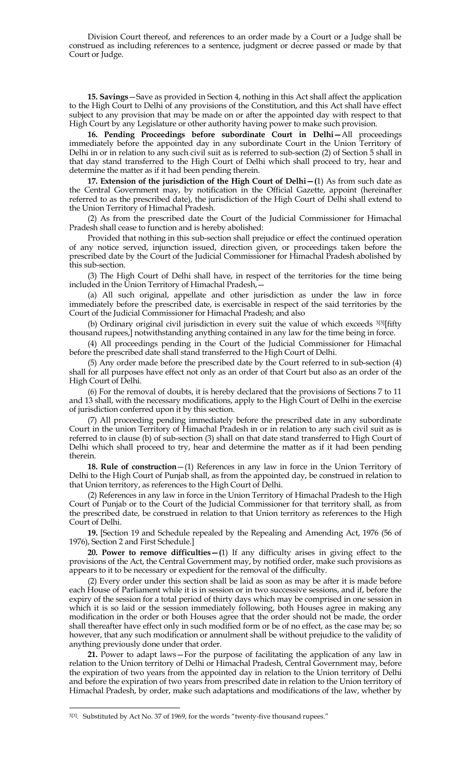Division Court thereof, and references to an order made by a Court or a Judge shall be construed as including references to a sentence, judgment or decree passed or made by that Court or Judge.

**15. Savings**—Save as provided in Section 4, nothing in this Act shall affect the application to the High Court to Delhi of any provisions of the Constitution, and this Act shall have effect subject to any provision that may be made on or after the appointed day with respect to that High Court by any Legislature or other authority having power to make such provision.

**16. Pending Proceedings before subordinate Court in Delhi—**All proceedings immediately before the appointed day in any subordinate Court in the Union Territory of Delhi in or in relation to any such civil suit as is referred to sub-section (2) of Section 5 shall in that day stand transferred to the High Court of Delhi which shall proceed to try, hear and determine the matter as if it had been pending therein.

**17. Extension of the jurisdiction of the High Court of Delhi—(**1) As from such date as the Central Government may, by notification in the Official Gazette, appoint (hereinafter referred to as the prescribed date), the jurisdiction of the High Court of Delhi shall extend to the Union Territory of Himachal Pradesh.

(2) As from the prescribed date the Court of the Judicial Commissioner for Himachal Pradesh shall cease to function and is hereby abolished:

Provided that nothing in this sub-section shall prejudice or effect the continued operation of any notice served, injunction issued, direction given, or proceedings taken before the prescribed date by the Court of the Judicial Commissioner for Himachal Pradesh abolished by this sub-section.

(3) The High Court of Delhi shall have, in respect of the territories for the time being included in the Union Territory of Himachal Pradesh,—

(a) All such original, appellate and other jurisdiction as under the law in force immediately before the prescribed date, is exercisable in respect of the said territories by the Court of the Judicial Commissioner for Himachal Pradesh; and also

(b) Ordinary original civil jurisdiction in every suit the value of which exceeds <sup>3[3]</sup>[fifty thousand rupees,] notwithstanding anything contained in any law for the time being in force.

(4) All proceedings pending in the Court of the Judicial Commissioner for Himachal before the prescribed date shall stand transferred to the High Court of Delhi.

(5) Any order made before the prescribed date by the Court referred to in sub-section (4) shall for all purposes have effect not only as an order of that Court but also as an order of the High Court of Delhi.

(6) For the removal of doubts, it is hereby declared that the provisions of Sections 7 to 11 and 13 shall, with the necessary modifications, apply to the High Court of Delhi in the exercise of jurisdiction conferred upon it by this section.

(7) All proceeding pending immediately before the prescribed date in any subordinate Court in the union Territory of Himachal Pradesh in or in relation to any such civil suit as is referred to in clause (b) of sub-section (3) shall on that date stand transferred to High Court of Delhi which shall proceed to try, hear and determine the matter as if it had been pending therein.

**18. Rule of construction**—(1) References in any law in force in the Union Territory of Delhi to the High Court of Punjab shall, as from the appointed day, be construed in relation to that Union territory, as references to the High Court of Delhi.

(2) References in any law in force in the Union Territory of Himachal Pradesh to the High Court of Punjab or to the Court of the Judicial Commissioner for that territory shall, as from the prescribed date, be construed in relation to that Union territory as references to the High Court of Delhi.

**19.** [Section 19 and Schedule repealed by the Repealing and Amending Act, 1976 (56 of 1976), Section 2 and First Schedule.]

**20. Power to remove difficulties—(**1) If any difficulty arises in giving effect to the provisions of the Act, the Central Government may, by notified order, make such provisions as appears to it to be necessary or expedient for the removal of the difficulty.

(2) Every order under this section shall be laid as soon as may be after it is made before each House of Parliament while it is in session or in two successive sessions, and if, before the expiry of the session for a total period of thirty days which may be comprised in one session in which it is so laid or the session immediately following, both Houses agree in making any modification in the order or both Houses agree that the order should not be made, the order shall thereafter have effect only in such modified form or be of no effect, as the case may be; so however, that any such modification or annulment shall be without prejudice to the validity of anything previously done under that order.

**21.** Power to adapt laws—For the purpose of facilitating the application of any law in relation to the Union territory of Delhi or Himachal Pradesh, Central Government may, before the expiration of two years from the appointed day in relation to the Union territory of Delhi and before the expiration of two years from prescribed date in relation to the Union territory of Himachal Pradesh, by order, make such adaptations and modifications of the law, whether by

 $\overline{\phantom{a}}$ 

<sup>&</sup>lt;sup>3[3]</sup>. Substituted by Act No. 37 of 1969, for the words "twenty-five thousand rupees."